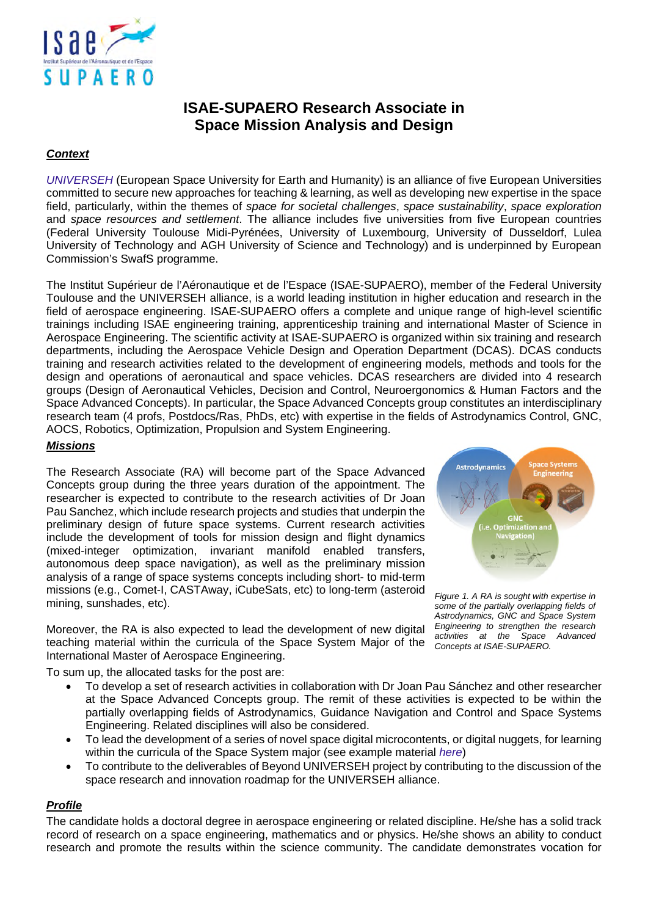

# **ISAE-SUPAERO Research Associate in Space Mission Analysis and Design**

## *Context*

*[UNIVERSEH](https://universeh.eu/)* (European Space University for Earth and Humanity) is an alliance of five European Universities committed to secure new approaches for teaching & learning, as well as developing new expertise in the space field, particularly, within the themes of *space for societal challenges*, *space sustainability*, *space exploration* and *space resources and settlement*. The alliance includes five universities from five European countries (Federal University Toulouse Midi-Pyrénées, University of Luxembourg, University of Dusseldorf, Lulea University of Technology and AGH University of Science and Technology) and is underpinned by European Commission's SwafS programme.

The Institut Supérieur de l'Aéronautique et de l'Espace (ISAE-SUPAERO), member of the Federal University Toulouse and the UNIVERSEH alliance, is a world leading institution in higher education and research in the field of aerospace engineering. ISAE-SUPAERO offers a complete and unique range of high-level scientific trainings including ISAE engineering training, apprenticeship training and international Master of Science in Aerospace Engineering. The scientific activity at ISAE-SUPAERO is organized within six training and research departments, including the Aerospace Vehicle Design and Operation Department (DCAS). DCAS conducts training and research activities related to the development of engineering models, methods and tools for the design and operations of aeronautical and space vehicles. DCAS researchers are divided into 4 research groups (Design of Aeronautical Vehicles, Decision and Control, Neuroergonomics & Human Factors and the Space Advanced Concepts). In particular, the Space Advanced Concepts group constitutes an interdisciplinary research team (4 profs, Postdocs/Ras, PhDs, etc) with expertise in the fields of Astrodynamics Control, GNC, AOCS, Robotics, Optimization, Propulsion and System Engineering.

### *Missions*

The Research Associate (RA) will become part of the Space Advanced Concepts group during the three years duration of the appointment. The researcher is expected to contribute to the research activities of Dr Joan Pau Sanchez, which include research projects and studies that underpin the preliminary design of future space systems. Current research activities include the development of tools for mission design and flight dynamics (mixed-integer optimization, invariant manifold enabled transfers, autonomous deep space navigation), as well as the preliminary mission analysis of a range of space systems concepts including short- to mid-term missions (e.g., Comet-I, CASTAway, iCubeSats, etc) to long-term (asteroid mining, sunshades, etc).

Moreover, the RA is also expected to lead the development of new digital teaching material within the curricula of the Space System Major of the International Master of Aerospace Engineering.

To sum up, the allocated tasks for the post are:

- To develop a set of research activities in collaboration with Dr Joan Pau Sánchez and other researcher at the Space Advanced Concepts group. The remit of these activities is expected to be within the partially overlapping fields of Astrodynamics, Guidance Navigation and Control and Space Systems Engineering. Related disciplines will also be considered.
- To lead the development of a series of novel space digital microcontents, or digital nuggets, for learning within the curricula of the Space System major (see example material *[here](https://mlearn.universeh.eu/adn-factory/)*)
- To contribute to the deliverables of Beyond UNIVERSEH project by contributing to the discussion of the space research and innovation roadmap for the UNIVERSEH alliance.

#### *Profile*

The candidate holds a doctoral degree in aerospace engineering or related discipline. He/she has a solid track record of research on a space engineering, mathematics and or physics. He/she shows an ability to conduct research and promote the results within the science community. The candidate demonstrates vocation for



*Figure 1. A RA is sought with expertise in some of the partially overlapping fields of Astrodynamics, GNC and Space System Engineering to strengthen the research activities at the Space Advanced Concepts at ISAE-SUPAERO.*